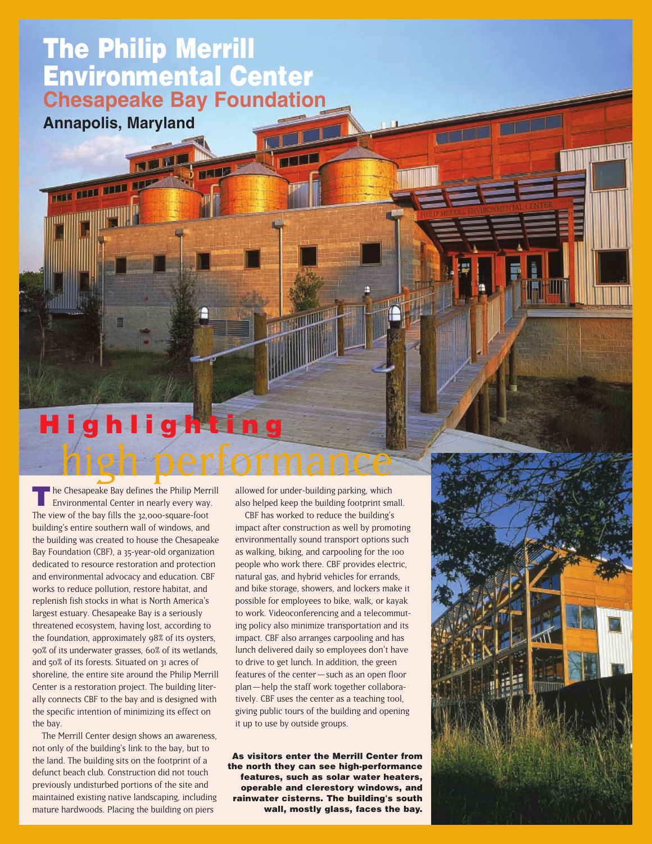## **The Philip Merrill Environmental Center Chesapeake Bay Foundation**

**Annapolis, Maryland**

THE REEL SIDE OF

# high performance **Highlighting**

**T**he Chesapeake Bay defines the Philip Merrill Environmental Center in nearly every way. The view of the bay fills the 32,000-square-foot building's entire southern wall of windows, and the building was created to house the Chesapeake Bay Foundation (CBF), a 35-year-old organization dedicated to resource restoration and protection and environmental advocacy and education. CBF works to reduce pollution, restore habitat, and replenish fish stocks in what is North America's largest estuary. Chesapeake Bay is a seriously threatened ecosystem, having lost, according to the foundation, approximately 98% of its oysters, 90% of its underwater grasses, 60% of its wetlands, and 50% of its forests. Situated on 31 acres of shoreline, the entire site around the Philip Merrill Center is a restoration project. The building literally connects CBF to the bay and is designed with the specific intention of minimizing its effect on the bay.

The Merrill Center design shows an awareness, not only of the building's link to the bay, but to the land. The building sits on the footprint of a defunct beach club. Construction did not touch previously undisturbed portions of the site and maintained existing native landscaping, including mature hardwoods. Placing the building on piers

allowed for under-building parking, which also helped keep the building footprint small.

CBF has worked to reduce the building's impact after construction as well by promoting environmentally sound transport options such as walking, biking, and carpooling for the 100 people who work there. CBF provides electric, natural gas, and hybrid vehicles for errands, and bike storage, showers, and lockers make it possible for employees to bike, walk, or kayak to work. Videoconferencing and a telecommuting policy also minimize transportation and its impact. CBF also arranges carpooling and has lunch delivered daily so employees don't have to drive to get lunch. In addition, the green features of the center — such as an open floor plan — help the staff work together collaboratively. CBF uses the center as a teaching tool, giving public tours of the building and opening it up to use by outside groups.

**As visitors enter the Merrill Center from the north they can see high-performance features, such as solar water heaters, operable and clerestory windows, and rainwater cisterns. The building's south wall, mostly glass, faces the bay.** 



**TILL**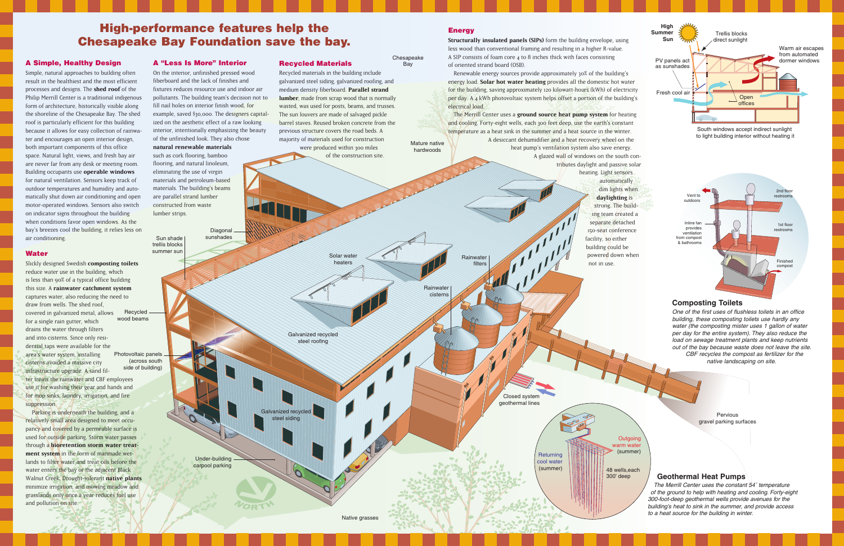Chesapeake **Bay** 

hardwoods

Pervious gravel parking surfaces

**Outgoing** varm water<br>(summer)

**Structurally insulated panels (SIPs)** form the building envelope, using less wood than conventional framing and resulting in a higher R-value. A SIP consists of foam core 4 to 8 inches thick with faces consisting of oriented strand board (OSB).

## **High-performance features help the Chesapeake Bay Foundation save the bay.**

Renewable energy sources provide approximately 30% of the building's energy load. **Solar hot water heating** provides all the domestic hot water for the building, saving approximately 120 kilowatt-hours (kWh) of electricity per day. A 4 kWh photovoltaic system helps offset a portion of the building's electrical load.

#### **Energy**

Mature native The Merrill Center uses a **ground source heat pump system** for heating and cooling. Forty-eight wells, each 300 feet deep, use the earth's constant temperature as a heat sink in the summer and a heat source in the winter. A desiccant dehumidifier and a heat recovery wheel on the

> water (the composting mister uses 1 gallon of water per day for the entire system). They also reduce the load on sewage treatment plants and keep nutrients out of the bay because waste does not leave the site. CBF recycles the compost as fertilizer for the native landscaping on site.



heat pump's ventilation system also save energy. A glazed wall of windows on the south contributes daylight and passive solar

> heating. Light sensors automatically dim lights when **daylighting** is strong. The build-

Photovoltaic panels (across south side of building) Recycled wood beams Slickly designed Swedish **composting toilets** reduce water use in the building, which is less than 90% of a typical office building this size. A **rainwater catchment system** captures water, also reducing the need to draw from wells. The shed roof, covered in galvanized metal, allows for a single rain gutter, which drains the water through filters and into cisterns. Since only residential taps were available for the area's water system, installing cisterns avoided a massive city infrastructure upgrade. A sand filter treats the rainwater and CBF employees use it for washing their gear and hands and for mop sinks, laundry, irrigation, and fire suppression.

#### **A Simple, Healthy Design**

were produced within 300 miles of the construction site.

Simple, natural approaches to building often result in the healthiest and the most efficient processes and designs. The **shed roof** of the Philip Merrill Center is a traditional indigenous form of architecture, historically visible along the shoreline of the Chesapeake Bay. The shed roof is particularly efficient for this building because it allows for easy collection of rainwater and encourages an open interior design, both important components of this office space. Natural light, views, and fresh bay air are never far from any desk or meeting room. Building occupants use **operable windows** for natural ventilation. Sensors keep track of outdoor temperatures and humidity and automatically shut down air conditioning and open motor-operated windows. Sensors also switch on indicator signs throughout the building when conditions favor open windows. As the bay's breezes cool the building, it relies less on air conditioning.



#### **Water**

Parking is underneath the building, and a relatively small area designed to meet occupancy and covered by a permeable surface is used for outside parking. Storm water passes through a **bioretention storm water treatment system** in the form of manmade wetlands to filter water and treat oils before the water enters the bay or the adjacent Black Walnut Creek. Drought-tolerant **native plants** minimize irrigation, and mowing meadow and grasslands only once a year reduces fuel use and pollution on site.



Recycled materials in the building include galvanized steel siding, galvanized roofing, and medium density fiberboard. **Parallel strand lumber**, made from scrap wood that is normally wasted, was used for posts, beams, and trusses. The sun louvers are made of salvaged pickle barrel staves. Reused broken concrete from the previous structure covers the road beds. A majority of materials used for construction

#### **A "Less Is More" Interior**

On the interior, unfinished pressed wood fiberboard and the lack of finishes and fixtures reduces resource use and indoor air pollutants. The building team's decision not to fill nail holes on interior finish wood, for example, saved \$30,000. The designers capitalized on the aesthetic effect of a raw looking interior, intentionally emphasizing the beauty of the unfinished look. They also chose

#### **natural renewable materials**

such as cork flooring, bamboo flooring, and natural linoleum, eliminating the use of virgin materials and petroleum-based materials. The building's beams are parallel strand lumber constructed from waste lumber strips.

#### **Geothermal Heat Pumps**

The Merrill Center uses the constant 54˚ temperature of the ground to help with heating and cooling. Forty-eight 300-foot-deep geothermal wells provide avenues for the building's heat to sink in the summer, and provide access to a heat source for the building in winter.